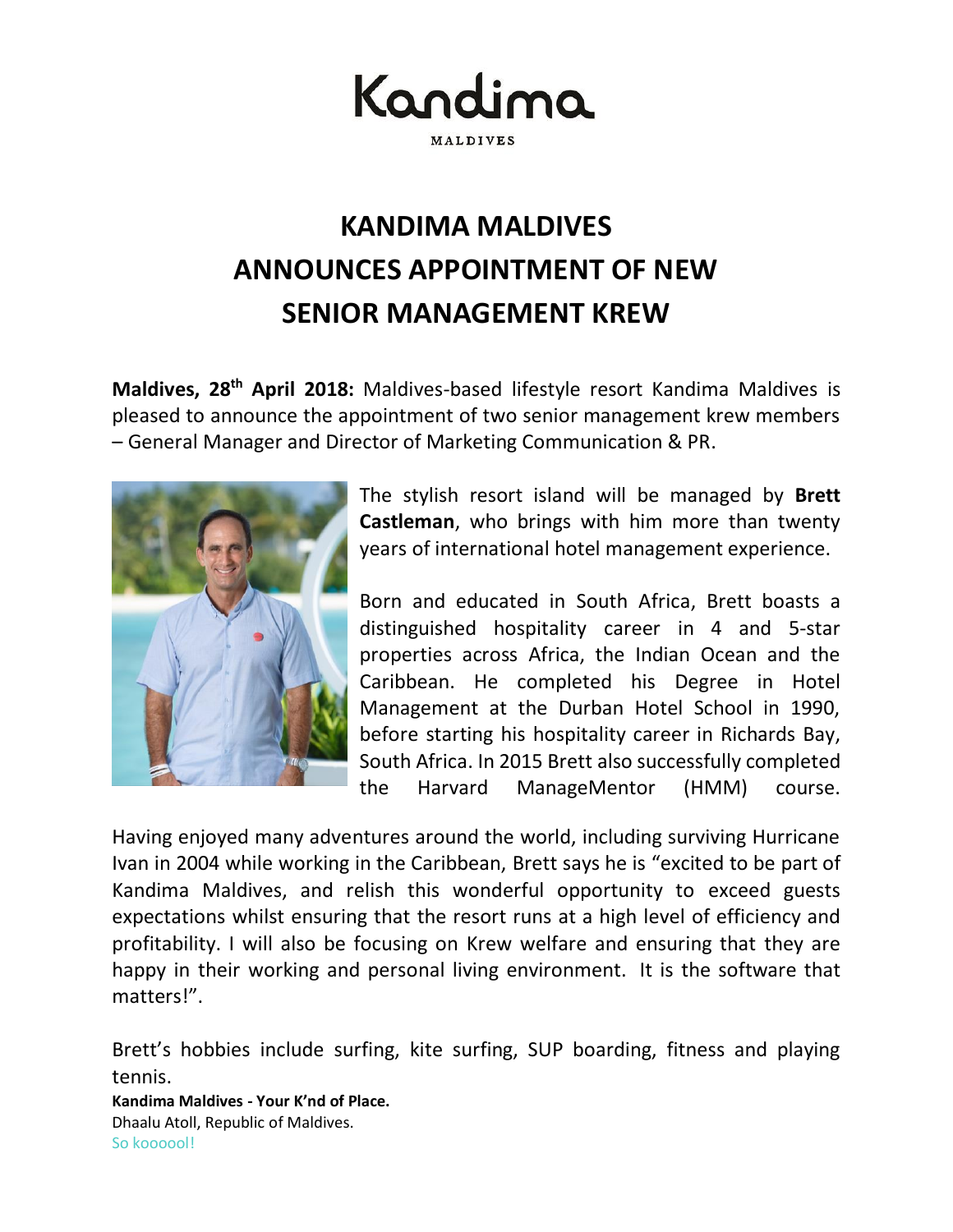Kandima **MALDIVES** 

## **KANDIMA MALDIVES ANNOUNCES APPOINTMENT OF NEW SENIOR MANAGEMENT KREW**

Maldives, 28<sup>th</sup> April 2018: Maldives-based lifestyle resort Kandima Maldives is pleased to announce the appointment of two senior management krew members – General Manager and Director of Marketing Communication & PR.



The stylish resort island will be managed by **Brett Castleman**, who brings with him more than twenty years of international hotel management experience.

Born and educated in South Africa, Brett boasts a distinguished hospitality career in 4 and 5-star properties across Africa, the Indian Ocean and the Caribbean. He completed his Degree in Hotel Management at the Durban Hotel School in 1990, before starting his hospitality career in Richards Bay, South Africa. In 2015 Brett also successfully completed the Harvard ManageMentor (HMM) course.

Having enjoyed many adventures around the world, including surviving Hurricane Ivan in 2004 while working in the Caribbean, Brett says he is "excited to be part of Kandima Maldives, and relish this wonderful opportunity to exceed guests expectations whilst ensuring that the resort runs at a high level of efficiency and profitability. I will also be focusing on Krew welfare and ensuring that they are happy in their working and personal living environment. It is the software that matters!".

Brett's hobbies include surfing, kite surfing, SUP boarding, fitness and playing tennis.

**Kandima Maldives - Your K'nd of Place.** Dhaalu Atoll, Republic of Maldives. So koooool!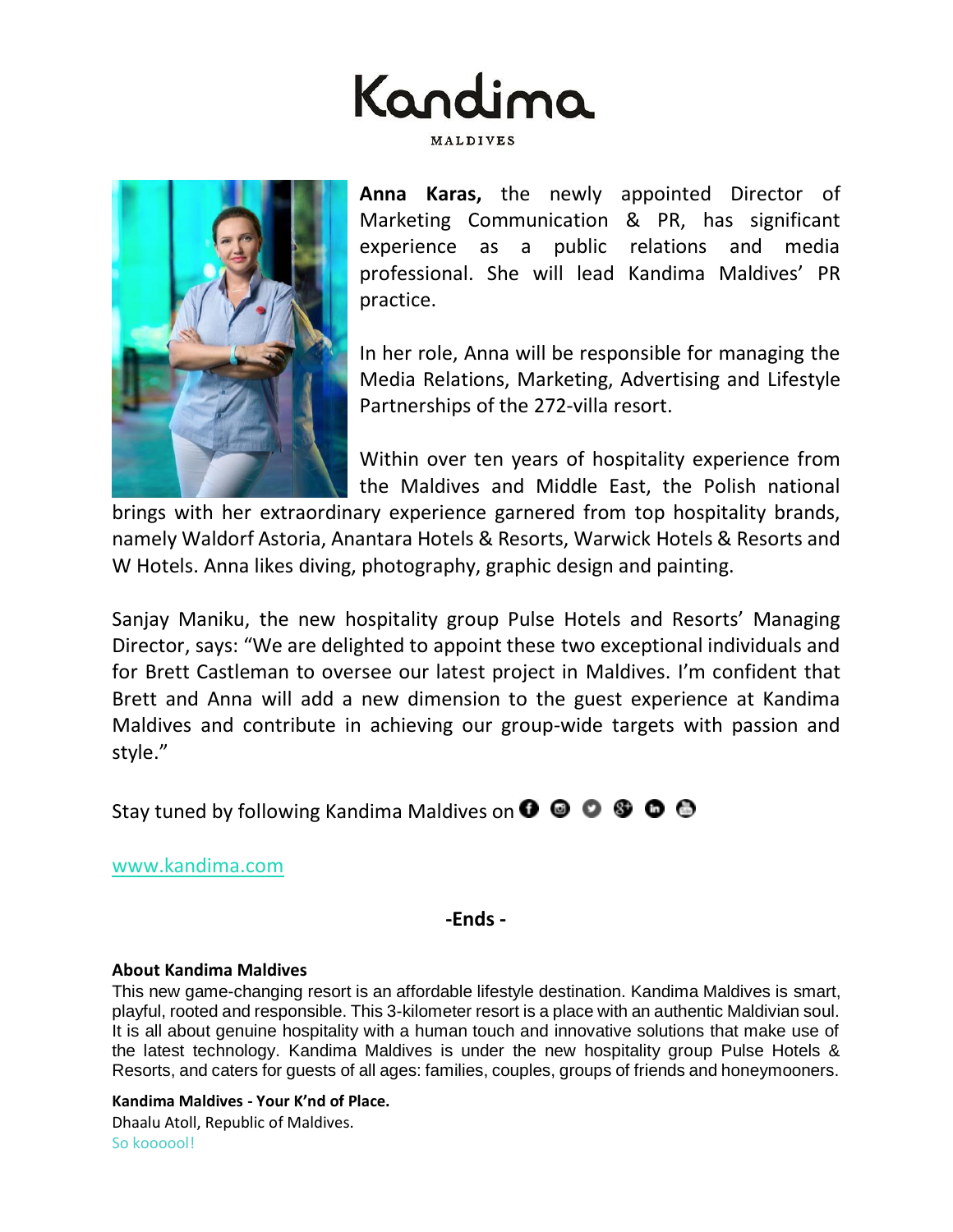



**Anna Karas,** the newly appointed Director of Marketing Communication & PR, has significant experience as a public relations and media professional. She will lead Kandima Maldives' PR practice.

In her role, Anna will be responsible for managing the Media Relations, Marketing, Advertising and Lifestyle Partnerships of the 272-villa resort.

Within over ten years of hospitality experience from the Maldives and Middle East, the Polish national

brings with her extraordinary experience garnered from top hospitality brands, namely Waldorf Astoria, Anantara Hotels & Resorts, Warwick Hotels & Resorts and W Hotels. Anna likes diving, photography, graphic design and painting.

Sanjay Maniku, the new hospitality group Pulse Hotels and Resorts' Managing Director, says: "We are delighted to appoint these two exceptional individuals and for Brett Castleman to oversee our latest project in Maldives. I'm confident that Brett and Anna will add a new dimension to the guest experience at Kandima Maldives and contribute in achieving our group-wide targets with passion and style."

Stay tuned by following Kandima Maldives on  $\bullet \bullet \bullet \bullet \bullet$ 

[www.kandima.com](http://kandima.com/index.php/en/)

**-Ends -**

## **About Kandima Maldives**

This new game-changing resort is an affordable lifestyle destination. Kandima Maldives is smart, playful, rooted and responsible. This 3-kilometer resort is a place with an authentic Maldivian soul. It is all about genuine hospitality with a human touch and innovative solutions that make use of the latest technology. Kandima Maldives is under the new hospitality group Pulse Hotels & Resorts, and caters for guests of all ages: families, couples, groups of friends and honeymooners.

**Kandima Maldives - Your K'nd of Place.** Dhaalu Atoll, Republic of Maldives. So koooool!